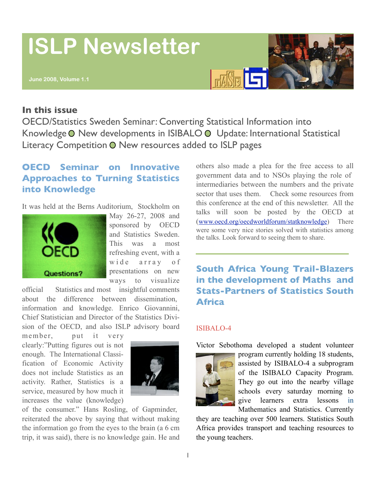# **ISLP Newsletter**

# **FASE LE**

#### **In this issue**

OECD/Statistics Sweden Seminar: Converting Statistical Information into Knowledge O New developments in ISIBALO O Update: International Statistical Literacy Competition O New resources added to ISLP pages

## **OECD Seminar on [Innovative](http://www.oecd.org/document/54/0,3343,en_21571361_31938349_39800246_1_1_1_1,00.html) [Approaches](http://www.oecd.org/document/54/0,3343,en_21571361_31938349_39800246_1_1_1_1,00.html) to Turning Statistics [into Knowledge](http://www.oecd.org/document/54/0,3343,en_21571361_31938349_39800246_1_1_1_1,00.html)**

It was held at the Berns Auditorium, Stockholm on



May 26-27, 2008 and sponsored by OECD and Statistics Sweden. This was a most refreshing event, with a wide array of presentations on new ways to visualize

official Statistics and most insightful comments about the difference between dissemination, information and knowledge. Enrico Giovannini, Chief Statistician and Director of the Statistics Division of the OECD, and also ISLP advisory board

member, put it very clearly:"Putting figures out is not enough. The International Classification of Economic Activity does not include Statistics as an activity. Rather, Statistics is a service, measured by how much it increases the value (knowledge)



of the consumer." Hans Rosling, of Gapminder, reiterated the above by saying that without making the information go from the eyes to the brain (a 6 cm trip, it was said), there is no knowledge gain. He and others also made a plea for the free access to all government data and to NSOs playing the role of intermediaries between the numbers and the private sector that uses them. Check some resources from this conference at the end of this newsletter. All the talks will soon be posted by the OECD at ([www.oecd.org/oecdworldforum/statknowledge\)](http://www.oecd.org/oecdworldforum/statknowledge) There were some very nice stories solved with statistics among the talks. Look forward to seeing them to share.

### **South Africa Young Trail-Blazers in the development of Maths and Stats-Partners of Statistics South Africa**

#### ISIBALO-4



Victor Sebothoma developed a student volunteer

program currently holding 18 students, assisted by ISIBALO-4 a subprogram of the ISIBALO Capacity Program. They go out into the nearby village schools every saturday morning to give learners extra lessons in Mathematics and Statistics. Currently

they are teaching over 500 learners. Statistics South Africa provides transport and teaching resources to the young teachers.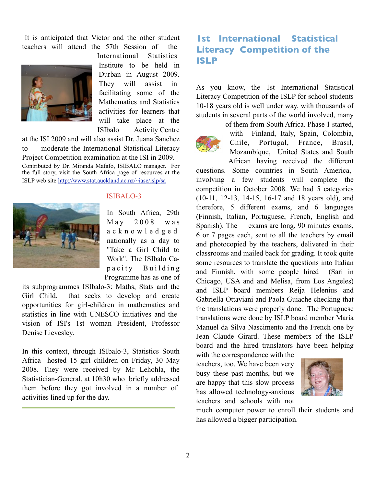It is anticipated that Victor and the other student teachers will attend the 57th Session of the



International Statistics Institute to be held in Durban in August 2009. They will assist in facilitating some of the Mathematics and Statistics activities for learners that will take place at the ISIbalo Activity Centre

at the ISI 2009 and will also assist Dr. Juana Sanchez to moderate the International Statistical Literacy Project Competition examination at the ISI in 2009. Contributed by Dr. Miranda Mafafo, ISIBALO manager. For the full story, visit the South Africa page of resources at the ISLP web site <http://www.stat.auckland.ac.nz/~iase/islp/sa>



#### ISIBALO-3

In South Africa, 29th May 2008 was a c k n o w l e d g e d nationally as a day to "Take a Girl Child to Work". The ISIbalo Capacity Building Programme has as one of

its subprogrammes ISIbalo-3: Maths, Stats and the Girl Child, that seeks to develop and create opportunities for girl-children in mathematics and statistics in line with UNESCO initiatives and the vision of ISI's 1st woman President, Professor Denise Lievesley.

In this context, through ISIbalo-3, Statistics South Africa hosted 15 girl children on Friday, 30 May 2008. They were received by Mr Lehohla, the Statistician-General, at 10h30 who briefly addressed them before they got involved in a number of activities lined up for the day.

#### **1st International Statistical Literacy Competition of the ISLP**

As you know, the 1st International Statistical Literacy Competition of the ISLP for school students 10-18 years old is well under way, with thousands of students in several parts of the world involved, many

> of them from South Africa. Phase 1 started, with Finland, Italy, Spain, Colombia, Chile, Portugal, France, Brasil, Mozambique, United States and South African having received the different

questions. Some countries in South America, involving a few students will complete the competition in October 2008. We had 5 categories (10-11, 12-13, 14-15, 16-17 and 18 years old), and therefore, 5 different exams, and 6 languages (Finnish, Italian, Portuguese, French, English and Spanish). The exams are long, 90 minutes exams, 6 or 7 pages each, sent to all the teachers by email and photocopied by the teachers, delivered in their classrooms and mailed back for grading. It took quite some resources to translate the questions into Italian and Finnish, with some people hired (Sari in Chicago, USA and and Melisa, from Los Angeles) and ISLP board members Reija Helenius and Gabriella Ottaviani and Paola Guiache checking that the translations were properly done. The Portuguese translations were done by ISLP board member Maria Manuel da Silva Nascimento and the French one by Jean Claude Girard. These members of the ISLP board and the hired translators have been helping

with the correspondence with the teachers, too. We have been very busy these past months, but we are happy that this slow process has allowed technology-anxious teachers and schools with not



much computer power to enroll their students and has allowed a bigger participation.